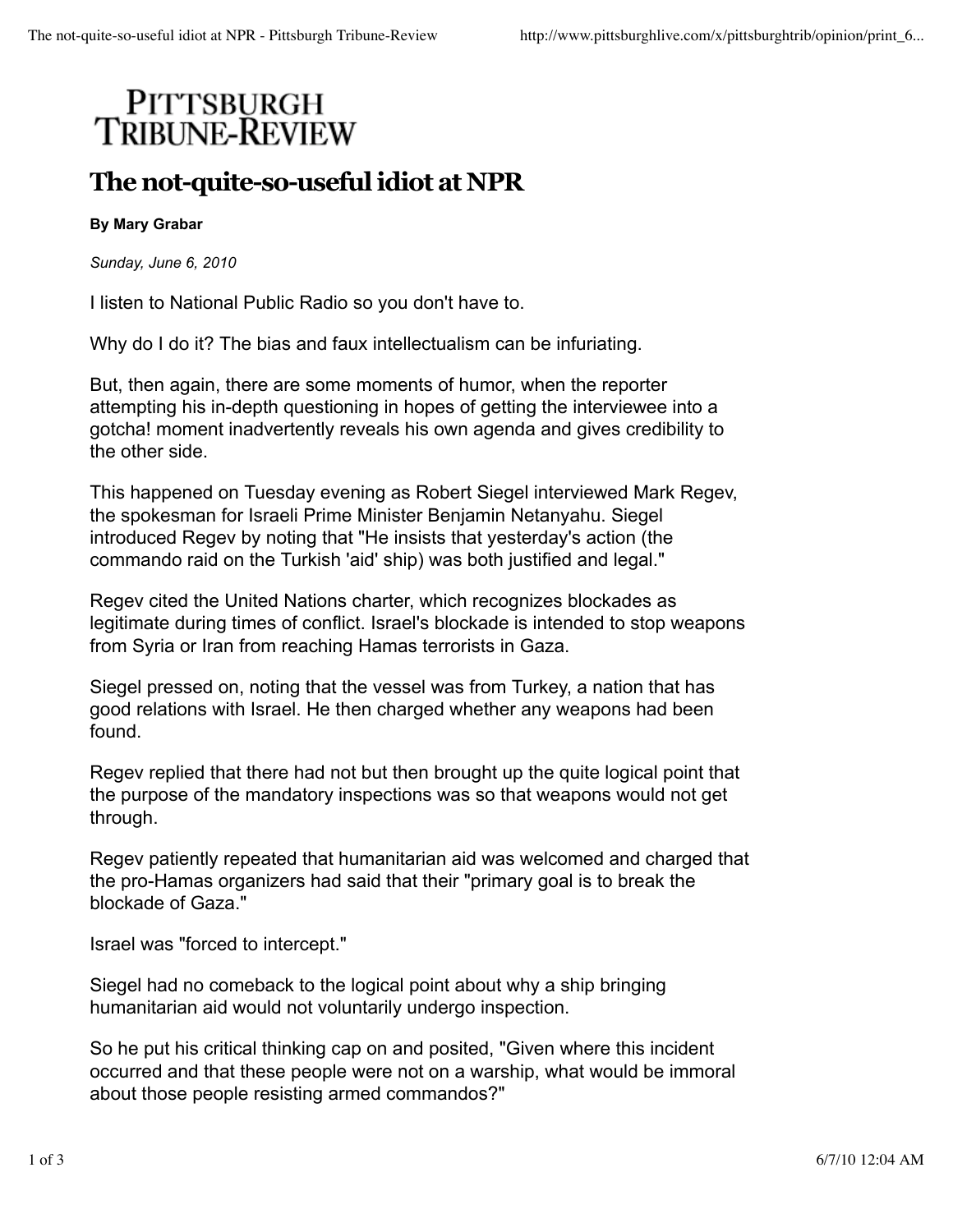## PITTSBURGH<br>TRIBUNE-REVIEW

## **The not-quite-so-useful idiot at NPR**

## **By Mary Grabar**

*Sunday, June 6, 2010*

I listen to National Public Radio so you don't have to.

Why do I do it? The bias and faux intellectualism can be infuriating.

But, then again, there are some moments of humor, when the reporter attempting his in-depth questioning in hopes of getting the interviewee into a gotcha! moment inadvertently reveals his own agenda and gives credibility to the other side.

This happened on Tuesday evening as Robert Siegel interviewed Mark Regev, the spokesman for Israeli Prime Minister Benjamin Netanyahu. Siegel introduced Regev by noting that "He insists that yesterday's action (the commando raid on the Turkish 'aid' ship) was both justified and legal."

Regev cited the United Nations charter, which recognizes blockades as legitimate during times of conflict. Israel's blockade is intended to stop weapons from Syria or Iran from reaching Hamas terrorists in Gaza.

Siegel pressed on, noting that the vessel was from Turkey, a nation that has good relations with Israel. He then charged whether any weapons had been found.

Regev replied that there had not but then brought up the quite logical point that the purpose of the mandatory inspections was so that weapons would not get through.

Regev patiently repeated that humanitarian aid was welcomed and charged that the pro-Hamas organizers had said that their "primary goal is to break the blockade of Gaza."

Israel was "forced to intercept."

Siegel had no comeback to the logical point about why a ship bringing humanitarian aid would not voluntarily undergo inspection.

So he put his critical thinking cap on and posited, "Given where this incident occurred and that these people were not on a warship, what would be immoral about those people resisting armed commandos?"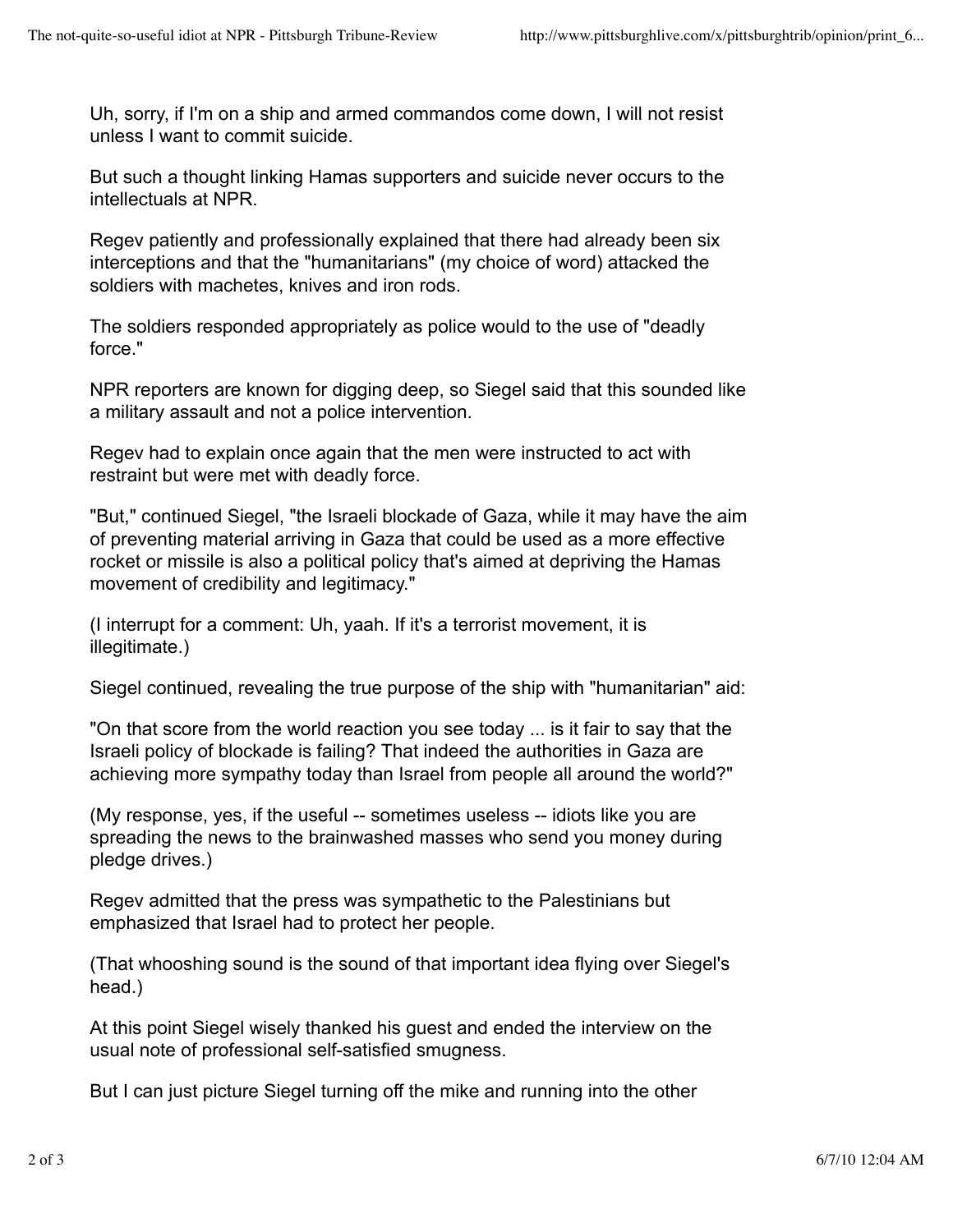Uh, sorry, if I'm on a ship and armed commandos come down, I will not resist unless I want to commit suicide.

But such a thought linking Hamas supporters and suicide never occurs to the intellectuals at NPR.

Regev patiently and professionally explained that there had already been six interceptions and that the "humanitarians" (my choice of word) attacked the soldiers with machetes, knives and iron rods.

The soldiers responded appropriately as police would to the use of "deadly force."

NPR reporters are known for digging deep, so Siegel said that this sounded like a military assault and not a police intervention.

Regev had to explain once again that the men were instructed to act with restraint but were met with deadly force.

"But," continued Siegel, "the Israeli blockade of Gaza, while it may have the aim of preventing material arriving in Gaza that could be used as a more effective rocket or missile is also a political policy that's aimed at depriving the Hamas movement of credibility and legitimacy."

(I interrupt for a comment: Uh, yaah. If it's a terrorist movement, it is illegitimate.)

Siegel continued, revealing the true purpose of the ship with "humanitarian" aid:

"On that score from the world reaction you see today ... is it fair to say that the Israeli policy of blockade is failing? That indeed the authorities in Gaza are achieving more sympathy today than Israel from people all around the world?"

(My response, yes, if the useful -- sometimes useless -- idiots like you are spreading the news to the brainwashed masses who send you money during pledge drives.)

Regev admitted that the press was sympathetic to the Palestinians but emphasized that Israel had to protect her people.

(That whooshing sound is the sound of that important idea flying over Siegel's head.)

At this point Siegel wisely thanked his guest and ended the interview on the usual note of professional self-satisfied smugness.

But I can just picture Siegel turning off the mike and running into the other